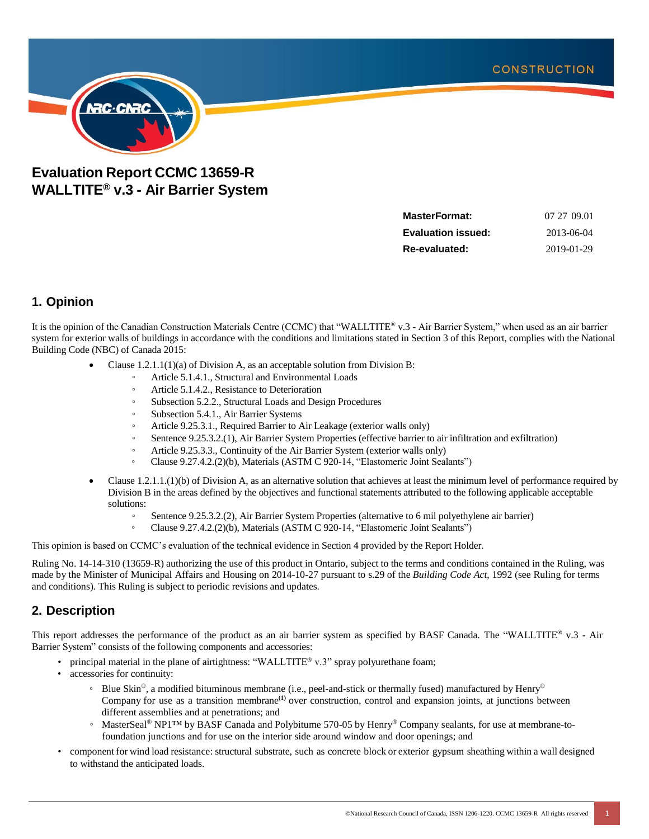

# **Evaluation Report CCMC 13659-R WALLTITE® v.3 - Air Barrier System**

| 07 27 09.01 |
|-------------|
| 2013-06-04  |
| 2019-01-29  |
|             |

### **1. Opinion**

It is the opinion of the Canadian Construction Materials Centre (CCMC) that "WALLTITE® v.3 - Air Barrier System," when used as an air barrier system for exterior walls of buildings in accordance with the conditions and limitations stated in Section 3 of this Report, complies with the National Building Code (NBC) of Canada 2015:

- Clause 1.2.1.1(1)(a) of Division A, as an acceptable solution from Division B:
	- Article 5.1.4.1., Structural and Environmental Loads
	- Article 5.1.4.2., Resistance to Deterioration
	- Subsection 5.2.2., Structural Loads and Design Procedures
	- Subsection 5.4.1., Air Barrier Systems
	- Article 9.25.3.1., Required Barrier to Air Leakage (exterior walls only)
	- Sentence 9.25.3.2.(1), Air Barrier System Properties (effective barrier to air infiltration and exfiltration)
	- Article 9.25.3.3., Continuity of the Air Barrier System (exterior walls only)
	- Clause 9.27.4.2.(2)(b), Materials (ASTM C 920-14, "Elastomeric Joint Sealants")
- Clause 1.2.1.1.(1)(b) of Division A, as an alternative solution that achieves at least the minimum level of performance required by Division B in the areas defined by the objectives and functional statements attributed to the following applicable acceptable solutions:
	- Sentence 9.25.3.2.(2), Air Barrier System Properties (alternative to 6 mil polyethylene air barrier)
	- Clause 9.27.4.2.(2)(b), Materials (ASTM C 920-14, "Elastomeric Joint Sealants")

This opinion is based on CCMC's evaluation of the technical evidence in Section 4 provided by the Report Holder.

Ruling No. 14-14-310 (13659-R) authorizing the use of this product in Ontario, subject to the terms and conditions contained in the Ruling, was made by the Minister of Municipal Affairs and Housing on 2014-10-27 pursuant to s.29 of the *Building Code Act*, 1992 (see Ruling for terms and conditions). This Ruling is subject to periodic revisions and updates.

## **2. Description**

This report addresses the performance of the product as an air barrier system as specified by BASF Canada. The "WALLTITE® v.3 - Air Barrier System" consists of the following components and accessories:

- principal material in the plane of airtightness: "WALLTITE® v.3" spray polyurethane foam;
- <span id="page-0-0"></span>• accessories for continuity:
	- ∘ Blue Skin®, a modified bituminous membrane (i.e., peel-and-stick or thermally fused) manufactured by Henry® Company for use as a transition membrane**[\(1\)](#page-1-0)** over construction, control and expansion joints, at junctions between different assemblies and at penetrations; and
	- MasterSeal® NP1™ by BASF Canada and Polybitume 570-05 by Henry® Company sealants, for use at membrane-tofoundation junctions and for use on the interior side around window and door openings; and
- component for wind load resistance: structural substrate, such as concrete block or exterior gypsum sheathing within a wall designed to withstand the anticipated loads.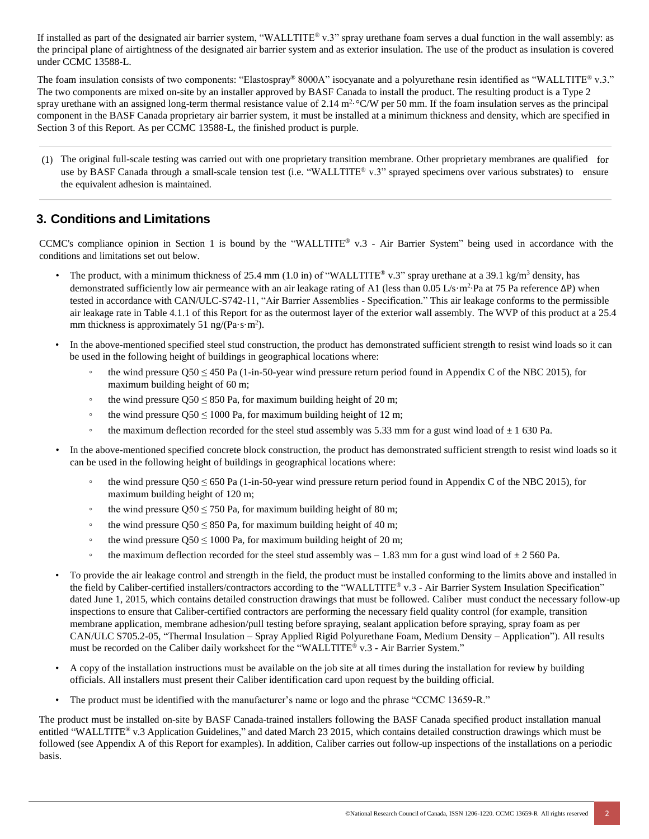If installed as part of the designated air barrier system, "WALLTITE® v.3" spray urethane foam serves a dual function in the wall assembly: as the principal plane of airtightness of the designated air barrier system and as exterior insulation. The use of the product as insulation is covered under CCMC 13588-L.

The foam insulation consists of two components: "Elastospray® 8000A" isocyanate and a polyurethane resin identified as "WALLTITE® v.3." The two components are mixed on-site by an installer approved by BASF Canada to install the product. The resulting product is a Type 2 spray urethane with an assigned long-term thermal resistance value of 2.14  $m^2$  °C/W per 50 mm. If the foam insulation serves as the principal component in the BASF Canada proprietary air barrier system, it must be installed at a minimum thickness and density, which are specified in Section 3 of this Report. As per CCMC 13588-L, the finished product is purple.

<span id="page-1-0"></span>[\(1\)](#page-0-0) The original full-scale testing was carried out with one proprietary transition membrane. Other proprietary membranes are qualified for use by BASF Canada through a small-scale tension test (i.e. "WALLTITE® v.3" sprayed specimens over various substrates) to ensure the equivalent adhesion is maintained.

## **3. Conditions and Limitations**

CCMC's compliance opinion in Section 1 is bound by the "WALLTITE® v.3 - Air Barrier System" being used in accordance with the conditions and limitations set out below.

- The product, with a minimum thickness of 25.4 mm (1.0 in) of "WALLTITE® v.3" spray urethane at a 39.1 kg/m<sup>3</sup> density, has demonstrated sufficiently low air permeance with an air leakage rating of A1 (less than 0.05 L/s·m<sup>2</sup>·Pa at 75 Pa reference ΔP) when tested in accordance with CAN/ULC-S742-11, "Air Barrier Assemblies - Specification." This air leakage conforms to the permissible air leakage rate in Table 4.1.1 of this Report for as the outermost layer of the exterior wall assembly. The WVP of this product at a 25.4 mm thickness is approximately 51 ng/ $(Pa·s·m^2)$ .
- In the above-mentioned specified steel stud construction, the product has demonstrated sufficient strength to resist wind loads so it can be used in the following height of buildings in geographical locations where:
	- the wind pressure Q50 ≤ 450 Pa (1-in-50-year wind pressure return period found in Appendix C of the NBC 2015), for maximum building height of 60 m;
	- the wind pressure  $\text{Q50} \leq 850 \text{ Pa}$ , for maximum building height of 20 m;
	- the wind pressure  $Q50 \le 1000$  Pa, for maximum building height of 12 m;
	- the maximum deflection recorded for the steel stud assembly was 5.33 mm for a gust wind load of  $\pm$  1 630 Pa.
- In the above-mentioned specified concrete block construction, the product has demonstrated sufficient strength to resist wind loads so it can be used in the following height of buildings in geographical locations where:
	- the wind pressure Q50  $\leq$  650 Pa (1-in-50-year wind pressure return period found in Appendix C of the NBC 2015), for maximum building height of 120 m;
	- the wind pressure  $0.50 \le 750$  Pa, for maximum building height of 80 m;
	- the wind pressure  $Q50 \leq 850$  Pa, for maximum building height of 40 m;
	- the wind pressure  $Q50 \le 1000$  Pa, for maximum building height of 20 m;
	- the maximum deflection recorded for the steel stud assembly was  $-1.83$  mm for a gust wind load of  $\pm 2\,560$  Pa.
- To provide the air leakage control and strength in the field, the product must be installed conforming to the limits above and installed in the field by Caliber-certified installers/contractors according to the "WALLTITE® v.3 - Air Barrier System Insulation Specification" dated June 1, 2015, which contains detailed construction drawings that must be followed. Caliber must conduct the necessary follow-up inspections to ensure that Caliber-certified contractors are performing the necessary field quality control (for example, transition membrane application, membrane adhesion/pull testing before spraying, sealant application before spraying, spray foam as per CAN/ULC S705.2-05, "Thermal Insulation – Spray Applied Rigid Polyurethane Foam, Medium Density – Application"). All results must be recorded on the Caliber daily worksheet for the "WALLTITE® v.3 - Air Barrier System."
- A copy of the installation instructions must be available on the job site at all times during the installation for review by building officials. All installers must present their Caliber identification card upon request by the building official.
- The product must be identified with the manufacturer's name or logo and the phrase "CCMC 13659-R."

The product must be installed on-site by BASF Canada-trained installers following the BASF Canada specified product installation manual entitled "WALLTITE® v.3 Application Guidelines," and dated March 23 2015, which contains detailed construction drawings which must be followed (see Appendix A of this Report for examples). In addition, Caliber carries out follow-up inspections of the installations on a periodic basis.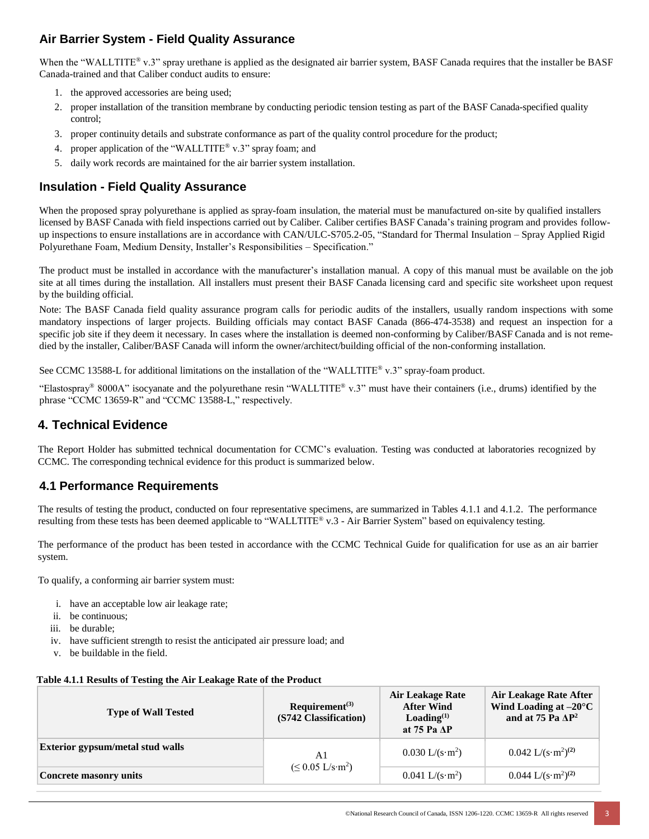## **Air Barrier System - Field Quality Assurance**

When the "WALLTITE® v.3" spray urethane is applied as the designated air barrier system, BASF Canada requires that the installer be BASF Canada-trained and that Caliber conduct audits to ensure:

- 1. the approved accessories are being used;
- 2. proper installation of the transition membrane by conducting periodic tension testing as part of the BASF Canada-specified quality control;
- 3. proper continuity details and substrate conformance as part of the quality control procedure for the product;
- 4. proper application of the "WALLTITE® v.3" spray foam; and
- 5. daily work records are maintained for the air barrier system installation.

### **Insulation - Field Quality Assurance**

When the proposed spray polyurethane is applied as spray-foam insulation, the material must be manufactured on-site by qualified installers licensed by BASF Canada with field inspections carried out by Caliber. Caliber certifies BASF Canada's training program and provides followup inspections to ensure installations are in accordance with CAN/ULC-S705.2-05, "Standard for Thermal Insulation – Spray Applied Rigid Polyurethane Foam, Medium Density, Installer's Responsibilities – Specification."

The product must be installed in accordance with the manufacturer's installation manual. A copy of this manual must be available on the job site at all times during the installation. All installers must present their BASF Canada licensing card and specific site worksheet upon request by the building official.

Note: The BASF Canada field quality assurance program calls for periodic audits of the installers, usually random inspections with some mandatory inspections of larger projects. Building officials may contact BASF Canada (866-474-3538) and request an inspection for a specific job site if they deem it necessary. In cases where the installation is deemed non-conforming by Caliber/BASF Canada and is not remedied by the installer, Caliber/BASF Canada will inform the owner/architect/building official of the non-conforming installation.

See CCMC 13588-L for additional limitations on the installation of the "WALLTITE® v.3" spray-foam product.

"Elastospray<sup>®</sup> 8000A" isocyanate and the polyurethane resin "WALLTITE® v.3" must have their containers (i.e., drums) identified by the phrase "CCMC 13659-R" and "CCMC 13588-L," respectively.

### **4. Technical Evidence**

The Report Holder has submitted technical documentation for CCMC's evaluation. Testing was conducted at laboratories recognized by CCMC. The corresponding technical evidence for this product is summarized below.

### **4.1 Performance Requirements**

The results of testing the product, conducted on four representative specimens, are summarized in Tables 4.1.1 and 4.1.2. The performance resulting from these tests has been deemed applicable to "WALLTITE® v.3 - Air Barrier System" based on equivalency testing.

The performance of the product has been tested in accordance with the CCMC Technical Guide for qualification for use as an air barrier system.

To qualify, a conforming air barrier system must:

- i. have an acceptable low air leakage rate;
- ii. be continuous;
- iii. be durable;
- iv. have sufficient strength to resist the anticipated air pressure load; and
- v. be buildable in the field.

|  | Table 4.1.1 Results of Testing the Air Leakage Rate of the Product |  |  |
|--|--------------------------------------------------------------------|--|--|
|  |                                                                    |  |  |
|  |                                                                    |  |  |

| <b>Type of Wall Tested</b>              | $Required^{(3)}$<br>(S742 Classification)  | Air Leakage Rate<br><b>After Wind</b><br>$\text{Loading}^{(1)}$<br>at 75 Pa AP | Air Leakage Rate After<br>Wind Loading at $-20^{\circ}$ C<br>and at 75 Pa $\Delta P^2$ |
|-----------------------------------------|--------------------------------------------|--------------------------------------------------------------------------------|----------------------------------------------------------------------------------------|
| <b>Exterior gypsum/metal stud walls</b> | A1                                         | $0.030$ L/(s·m <sup>2</sup> )                                                  | $0.042 \text{ L/(s} \cdot \text{m}^2)^{(2)}$                                           |
| Concrete masonry units                  | $(\leq 0.05 \text{ L/s} \cdot \text{m}^2)$ | $0.041 \text{ L/(s} \cdot \text{m}^2)$                                         | $0.044 \text{ L}/(\text{s} \cdot \text{m}^2)^{(2)}$                                    |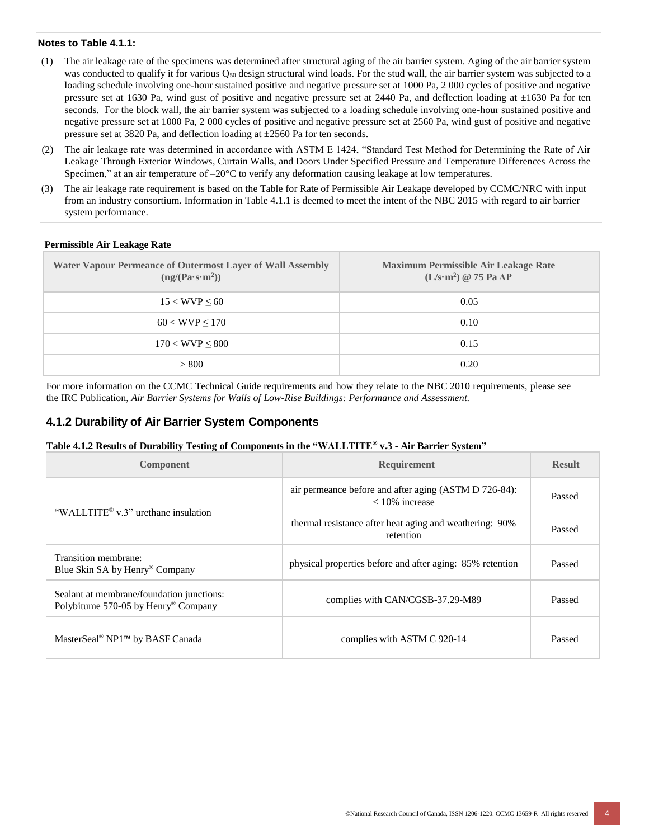### **Notes to Table 4.1.1:**

- <span id="page-3-0"></span>(1) The air leakage rate of the specimens was determined after structural aging of the air barrier system. Aging of the air barrier system was conducted to qualify it for various  $Q_{50}$  design structural wind loads. For the stud wall, the air barrier system was subjected to a loading schedule involving one-hour sustained positive and negative pressure set at 1000 Pa, 2 000 cycles of positive and negative pressure set at 1630 Pa, wind gust of positive and negative pressure set at 2440 Pa, and deflection loading at  $\pm 1630$  Pa for ten seconds. For the block wall, the air barrier system was subjected to a loading schedule involving one-hour sustained positive and negative pressure set at 1000 Pa, 2 000 cycles of positive and negative pressure set at 2560 Pa, wind gust of positive and negative pressure set at 3820 Pa, and deflection loading at ±2560 Pa for ten seconds.
- (2) The air leakage rate was determined in accordance with ASTM E 1424, "Standard Test Method for Determining the Rate of Air Leakage Through Exterior Windows, Curtain Walls, and Doors Under Specified Pressure and Temperature Differences Across the Specimen," at an air temperature of  $-20^{\circ}\text{C}$  to verify any deformation causing leakage at low temperatures.
- (3) The air leakage rate requirement is based on the Table for Rate of Permissible Air Leakage developed by CCMC/NRC with input from an industry consortium. Information in Table 4.1.1 is deemed to meet the intent of the NBC 2015 with regard to air barrier system performance.

| <b>Water Vapour Permeance of Outermost Layer of Wall Assembly</b><br>(ng/(Pa·s·m <sup>2</sup> )) | <b>Maximum Permissible Air Leakage Rate</b><br>$(L/s·m2)$ @ 75 Pa $\Delta P$ |
|--------------------------------------------------------------------------------------------------|------------------------------------------------------------------------------|
| $15 < WVP \le 60$                                                                                | 0.05                                                                         |
| $60 < WVP \le 170$                                                                               | 0.10                                                                         |
| $170 < WVP \leq 800$                                                                             | 0.15                                                                         |
| > 800                                                                                            | 0.20                                                                         |

#### **Permissible Air Leakage Rate**

For more information on the CCMC Technical Guide requirements and how they relate to the NBC 2010 requirements, please see the IRC Publication, *Air Barrier Systems for Walls of Low-Rise Buildings: Performance and Assessment.*

### **4.1.2 Durability of Air Barrier System Components**

#### **Table 4.1.2 Results of Durability Testing of Components in the "WALLTITE® v.3 - Air Barrier System"**

| Component                                                                        | <b>Requirement</b>                                                        | <b>Result</b> |
|----------------------------------------------------------------------------------|---------------------------------------------------------------------------|---------------|
|                                                                                  | air permeance before and after aging (ASTM D 726-84):<br>$<$ 10% increase | Passed        |
| "WALLTITE <sup>®</sup> $v$ .3" urethane insulation                               | thermal resistance after heat aging and weathering: 90%<br>retention      | Passed        |
| Transition membrane:<br>Blue Skin SA by Henry® Company                           | physical properties before and after aging: 85% retention                 | Passed        |
| Sealant at membrane/foundation junctions:<br>Polybitume 570-05 by Henry® Company | complies with CAN/CGSB-37.29-M89                                          | Passed        |
| MasterSeal <sup>®</sup> NP1 <sup>™</sup> by BASF Canada                          | complies with ASTM C 920-14                                               | Passed        |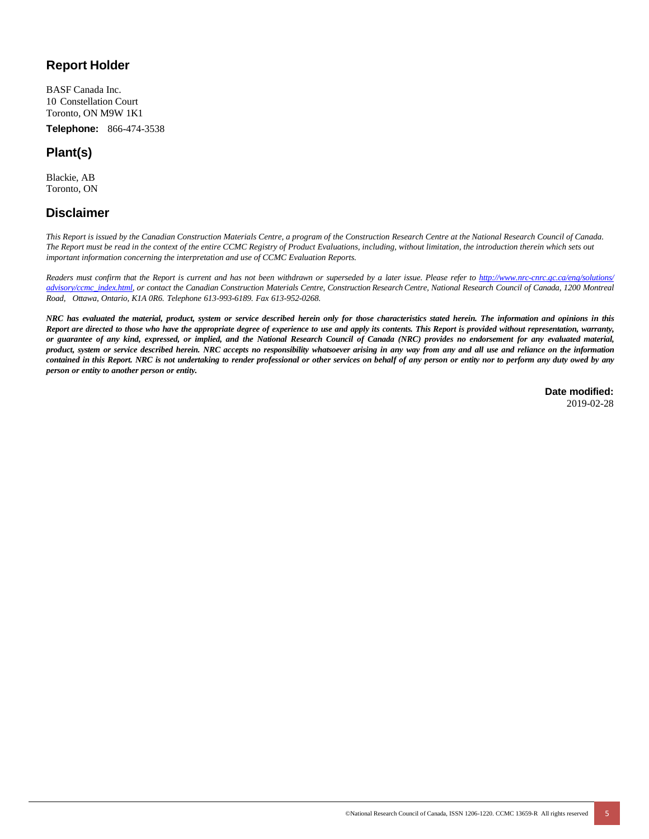### **Report Holder**

BASF Canada Inc. 10 Constellation Court Toronto, ON M9W 1K1

**Telephone:** 866-474-3538

## **Plant(s)**

Blackie, AB Toronto, ON

### **Disclaimer**

*This Report is issued by the Canadian Construction Materials Centre, a program of the Construction Research Centre at the National Research Council of Canada. The Report must be read in the context of the entire CCMC Registry of Product Evaluations, including, without limitation, the introduction therein which sets out important information concerning the interpretation and use of CCMC Evaluation Reports.*

Readers must confirm that the Report is current and has not been withdrawn or superseded by a later issue. Please refer to http://www.nrc-cnrc.gc.ca/eng/solutions/ [advisory/ccmc\\_index.html,](http://www.nrc-cnrc.gc.ca/eng/solutions/advisory/ccmc_index.html) or contact the Canadian Construction Materials Centre, Construction Research Centre, National Research Council of Canada, 1200 Montreal *Road, Ottawa, Ontario, K1A 0R6. Telephone 613-993-6189. Fax 613-952-0268.*

NRC has evaluated the material, product, system or service described herein only for those characteristics stated herein. The information and opinions in this Report are directed to those who have the appropriate degree of experience to use and apply its contents. This Report is provided without representation, warranty, or guarantee of any kind, expressed, or implied, and the National Research Council of Canada (NRC) provides no endorsement for any evaluated material, product, system or service described herein. NRC accepts no responsibility whatsoever arising in any way from any and all use and reliance on the information contained in this Report. NRC is not undertaking to render professional or other services on behalf of any person or entity nor to perform any duty owed by any *person or entity to another person or entity.*

> **Date modified:** 2019-02-28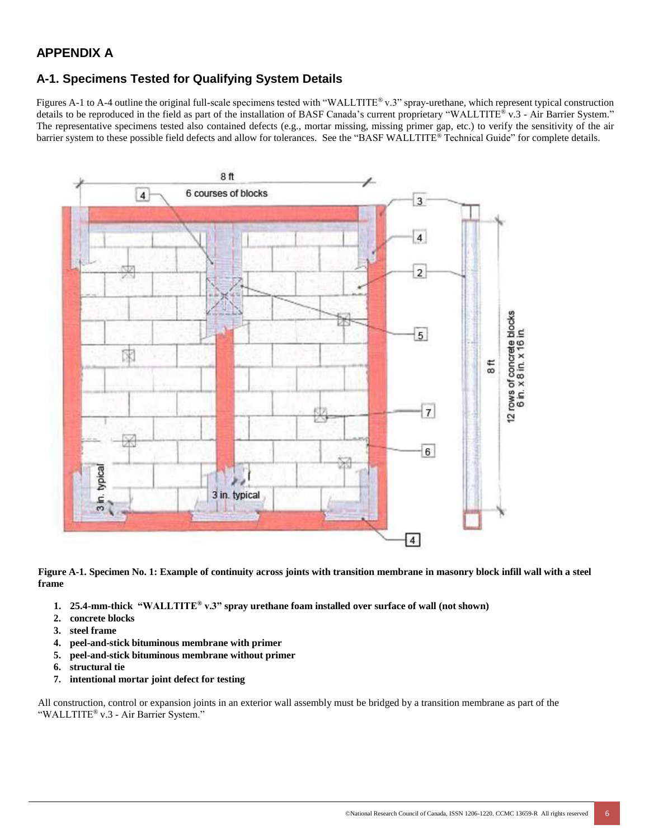### **APPENDIX A**

### **A-1. Specimens Tested for Qualifying System Details**

Figures A-1 to A-4 outline the original full-scale specimens tested with "WALLTITE® v.3" spray-urethane, which represent typical construction details to be reproduced in the field as part of the installation of BASF Canada's current proprietary "WALLTITE® v.3 - Air Barrier System." The representative specimens tested also contained defects (e.g., mortar missing, missing primer gap, etc.) to verify the sensitivity of the air barrier system to these possible field defects and allow for tolerances. See the "BASF WALLTITE® Technical Guide" for complete details.



Figure A-1. Specimen No. 1: Example of continuity across joints with transition membrane in masonry block infill wall with a steel **frame**

- **1. 25.4-mm-thick "WALLTITE® v.3" spray urethane foam installed over surface of wall (not shown)**
- **2. concrete blocks**
- **3. steel frame**
- **4. peel-and-stick bituminous membrane with primer**
- **5. peel-and-stick bituminous membrane without primer**
- **6. structural tie**
- **7. intentional mortar joint defect for testing**

All construction, control or expansion joints in an exterior wall assembly must be bridged by a transition membrane as part of the "WALLTITE® v.3 - Air Barrier System."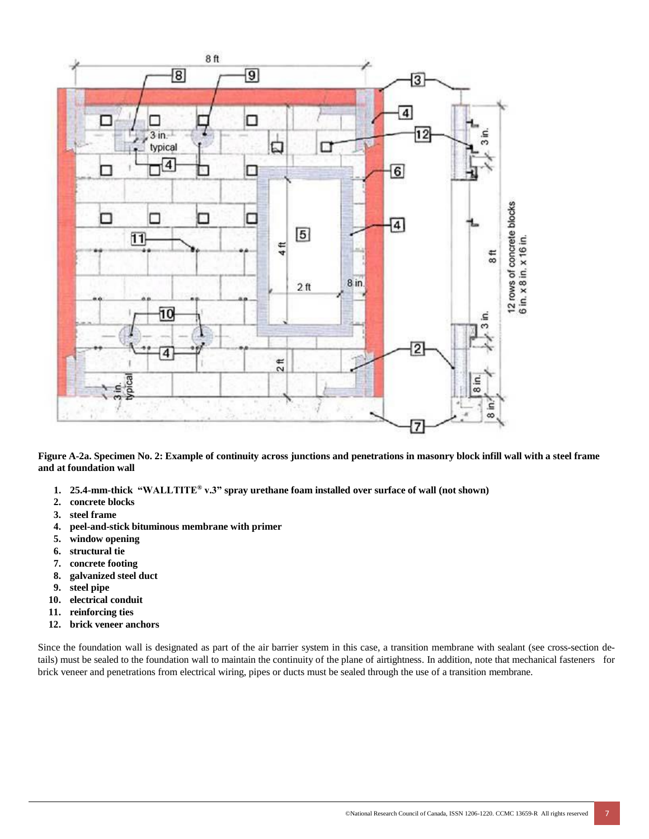

Figure A-2a. Specimen No. 2: Example of continuity across junctions and penetrations in masonry block infill wall with a steel frame **and at foundation wall**

- **1. 25.4-mm-thick "WALLTITE® v.3" spray urethane foam installed over surface of wall (not shown)**
- **2. concrete blocks**
- **3. steel frame**
- **4. peel-and-stick bituminous membrane with primer**
- **5. window opening**
- **6. structural tie**
- **7. concrete footing**
- **8. galvanized steel duct**
- **9. steel pipe**
- **10. electrical conduit**
- **11. reinforcing ties**
- **12. brick veneer anchors**

Since the foundation wall is designated as part of the air barrier system in this case, a transition membrane with sealant (see cross-section details) must be sealed to the foundation wall to maintain the continuity of the plane of airtightness. In addition, note that mechanical fasteners for brick veneer and penetrations from electrical wiring, pipes or ducts must be sealed through the use of a transition membrane.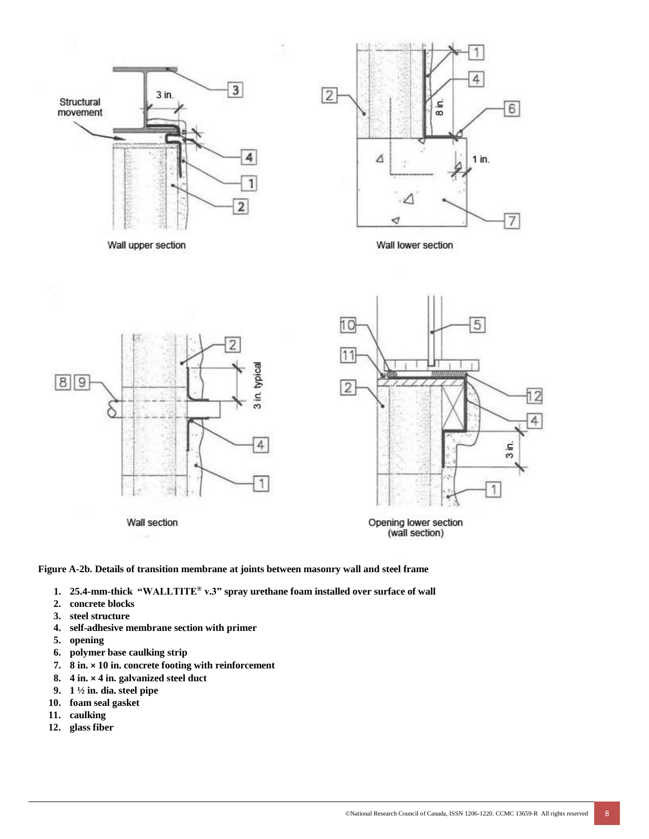



Wall upper section

Wall lower section



**Figure A-2b. Details of transition membrane at joints between masonry wall and steel frame**

- **1. 25.4-mm-thick "WALLTITE® v.3" spray urethane foam installed over surface of wall**
- **2. concrete blocks**
- **3. steel structure**
- **4. self-adhesive membrane section with primer**
- **5. opening**
- **6. polymer base caulking strip**
- **7. 8 in. × 10 in. concrete footing with reinforcement**
- **8. 4 in. × 4 in. galvanized steel duct**
- **9. 1 ½ in. dia. steel pipe**
- **10. foam seal gasket**
- **11. caulking**
- **12. glass fiber**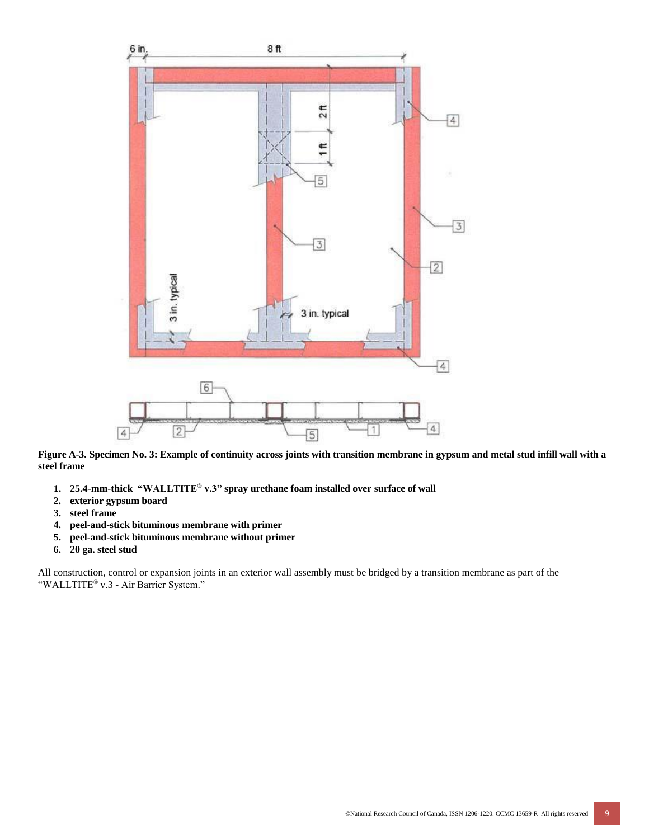

Figure A-3. Specimen No. 3: Example of continuity across joints with transition membrane in gypsum and metal stud infill wall with a **steel frame**

- **1. 25.4-mm-thick "WALLTITE® v.3" spray urethane foam installed over surface of wall**
- **2. exterior gypsum board**
- **3. steel frame**
- **4. peel-and-stick bituminous membrane with primer**
- **5. peel-and-stick bituminous membrane without primer**
- **6. 20 ga. steel stud**

All construction, control or expansion joints in an exterior wall assembly must be bridged by a transition membrane as part of the "WALLTITE® v.3 - Air Barrier System."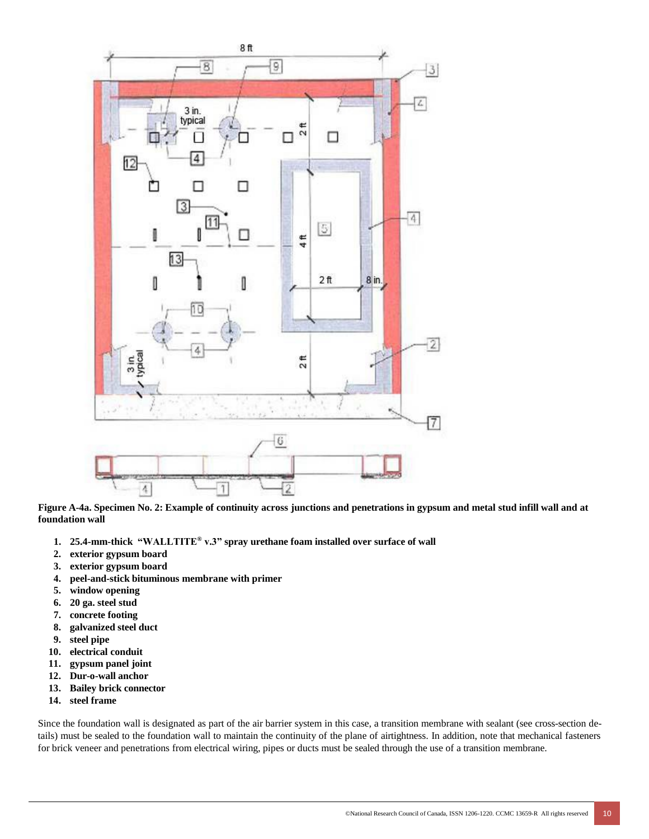

Figure A-4a. Specimen No. 2: Example of continuity across junctions and penetrations in gypsum and metal stud infill wall and at **foundation wall**

- **1. 25.4-mm-thick "WALLTITE® v.3" spray urethane foam installed over surface of wall**
- **2. exterior gypsum board**
- **3. exterior gypsum board**
- **4. peel-and-stick bituminous membrane with primer**
- **5. window opening**
- **6. 20 ga. steel stud**
- **7. concrete footing**
- **8. galvanized steel duct**
- **9. steel pipe**
- **10. electrical conduit**
- **11. gypsum panel joint**
- **12. Dur-o-wall anchor**
- **13. Bailey brick connector**
- **14. steel frame**

Since the foundation wall is designated as part of the air barrier system in this case, a transition membrane with sealant (see cross-section details) must be sealed to the foundation wall to maintain the continuity of the plane of airtightness. In addition, note that mechanical fasteners for brick veneer and penetrations from electrical wiring, pipes or ducts must be sealed through the use of a transition membrane.